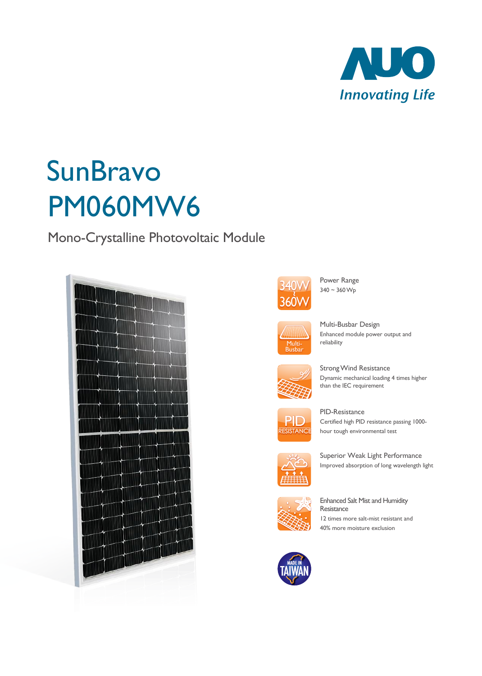

# **SunBravo** PM060MW6

Mono-Crystalline Photovoltaic Module





Power Range  $340 \sim 360 \,\mathrm{Wp}$ 



Multi-Busbar Design Enhanced module power output and reliability



Strong Wind Resistance Dynamic mechanical loading 4 times higher than the IEC requirement



PID-Resistance Certified high PID resistance passing 1000 hour tough environmental test



Superior Weak Light Performance Improved absorption of long wavelength light



Enhanced Salt Mist and Humidity **Resistance** 12 times more salt-mist resistant and 40% more moisture exclusion